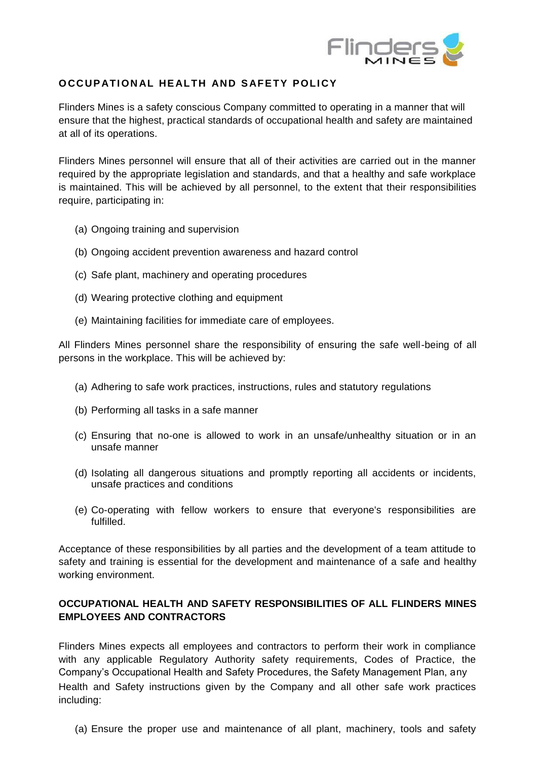

## **OCCUPATIONAL HEALTH AND SAFETY POLICY**

Flinders Mines is a safety conscious Company committed to operating in a manner that will ensure that the highest, practical standards of occupational health and safety are maintained at all of its operations.

Flinders Mines personnel will ensure that all of their activities are carried out in the manner required by the appropriate legislation and standards, and that a healthy and safe workplace is maintained. This will be achieved by all personnel, to the extent that their responsibilities require, participating in:

- (a) Ongoing training and supervision
- (b) Ongoing accident prevention awareness and hazard control
- (c) Safe plant, machinery and operating procedures
- (d) Wearing protective clothing and equipment
- (e) Maintaining facilities for immediate care of employees.

All Flinders Mines personnel share the responsibility of ensuring the safe well-being of all persons in the workplace. This will be achieved by:

- (a) Adhering to safe work practices, instructions, rules and statutory regulations
- (b) Performing all tasks in a safe manner
- (c) Ensuring that no-one is allowed to work in an unsafe/unhealthy situation or in an unsafe manner
- (d) Isolating all dangerous situations and promptly reporting all accidents or incidents, unsafe practices and conditions
- (e) Co-operating with fellow workers to ensure that everyone's responsibilities are fulfilled.

Acceptance of these responsibilities by all parties and the development of a team attitude to safety and training is essential for the development and maintenance of a safe and healthy working environment.

## **OCCUPATIONAL HEALTH AND SAFETY RESPONSIBILITIES OF ALL FLINDERS MINES EMPLOYEES AND CONTRACTORS**

Flinders Mines expects all employees and contractors to perform their work in compliance with any applicable Regulatory Authority safety requirements, Codes of Practice, the Company's Occupational Health and Safety Procedures, the Safety Management Plan, any Health and Safety instructions given by the Company and all other safe work practices including:

(a) Ensure the proper use and maintenance of all plant, machinery, tools and safety